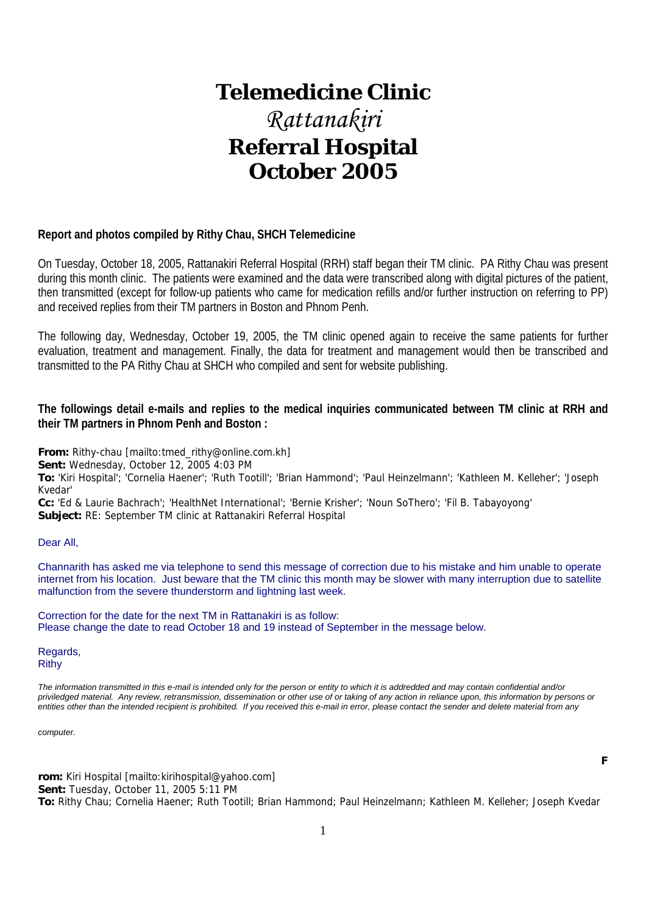# **Telemedicine Clinic** *Rattanakiri*  **Referral Hospital October 2005**

### **Report and photos compiled by Rithy Chau, SHCH Telemedicine**

On Tuesday, October 18, 2005, Rattanakiri Referral Hospital (RRH) staff began their TM clinic. PA Rithy Chau was present during this month clinic. The patients were examined and the data were transcribed along with digital pictures of the patient, then transmitted (except for follow-up patients who came for medication refills and/or further instruction on referring to PP) and received replies from their TM partners in Boston and Phnom Penh.

The following day, Wednesday, October 19, 2005, the TM clinic opened again to receive the same patients for further evaluation, treatment and management. Finally, the data for treatment and management would then be transcribed and transmitted to the PA Rithy Chau at SHCH who compiled and sent for website publishing.

### **The followings detail e-mails and replies to the medical inquiries communicated between TM clinic at RRH and their TM partners in Phnom Penh and Boston :**

**From:** Rithy-chau [mailto:tmed\_rithy@online.com.kh]

**Sent:** Wednesday, October 12, 2005 4:03 PM

**To:** 'Kiri Hospital'; 'Cornelia Haener'; 'Ruth Tootill'; 'Brian Hammond'; 'Paul Heinzelmann'; 'Kathleen M. Kelleher'; 'Joseph Kvedar'

**Cc:** 'Ed & Laurie Bachrach'; 'HealthNet International'; 'Bernie Krisher'; 'Noun SoThero'; 'Fil B. Tabayoyong' **Subject:** RE: September TM clinic at Rattanakiri Referral Hospital

#### Dear All,

Channarith has asked me via telephone to send this message of correction due to his mistake and him unable to operate internet from his location. Just beware that the TM clinic this month may be slower with many interruption due to satellite malfunction from the severe thunderstorm and lightning last week.

Correction for the date for the next TM in Rattanakiri is as follow: Please change the date to read October 18 and 19 instead of September in the message below.

Regards, Rithy

*The information transmitted in this e-mail is intended only for the person or entity to which it is addredded and may contain confidential and/or priviledged material. Any review, retransmission, dissemination or other use of or taking of any action in reliance upon, this information by persons or entities other than the intended recipient is prohibited. If you received this e-mail in error, please contact the sender and delete material from any* 

*computer.*

**rom:** Kiri Hospital [mailto:kirihospital@yahoo.com] **Sent:** Tuesday, October 11, 2005 5:11 PM **To:** Rithy Chau; Cornelia Haener; Ruth Tootill; Brian Hammond; Paul Heinzelmann; Kathleen M. Kelleher; Joseph Kvedar

**<sup>F</sup>**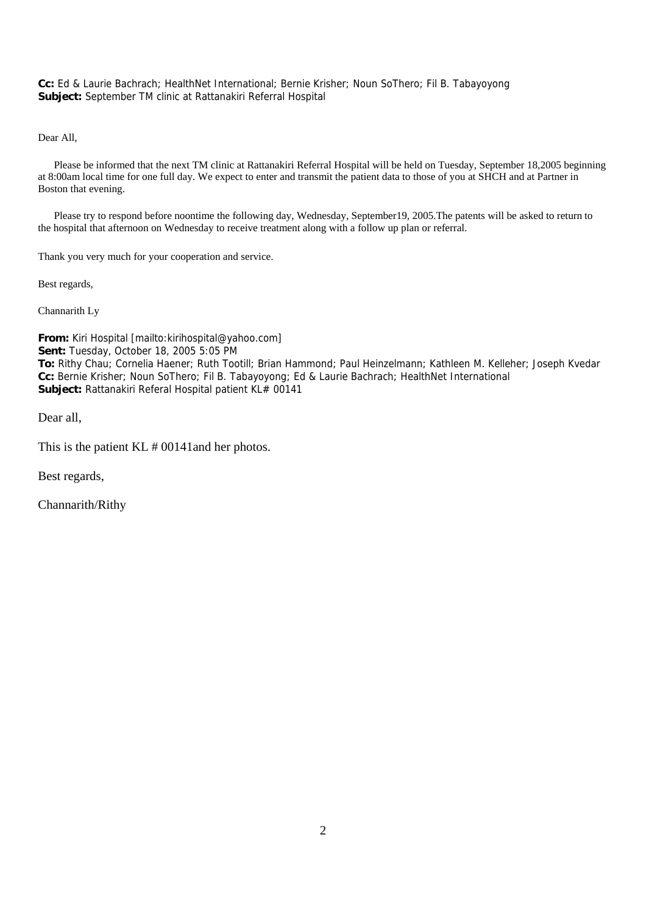**Cc:** Ed & Laurie Bachrach; HealthNet International; Bernie Krisher; Noun SoThero; Fil B. Tabayoyong **Subject:** September TM clinic at Rattanakiri Referral Hospital

Dear All,

 Please be informed that the next TM clinic at Rattanakiri Referral Hospital will be held on Tuesday, September 18,2005 beginning at 8:00am local time for one full day. We expect to enter and transmit the patient data to those of you at SHCH and at Partner in Boston that evening.

 Please try to respond before noontime the following day, Wednesday, September19, 2005.The patents will be asked to return to the hospital that afternoon on Wednesday to receive treatment along with a follow up plan or referral.

Thank you very much for your cooperation and service.

Best regards,

Channarith Ly

**From:** Kiri Hospital [mailto:kirihospital@yahoo.com] **Sent:** Tuesday, October 18, 2005 5:05 PM **To:** Rithy Chau; Cornelia Haener; Ruth Tootill; Brian Hammond; Paul Heinzelmann; Kathleen M. Kelleher; Joseph Kvedar **Cc:** Bernie Krisher; Noun SoThero; Fil B. Tabayoyong; Ed & Laurie Bachrach; HealthNet International **Subject:** Rattanakiri Referal Hospital patient KL# 00141

Dear all,

This is the patient KL # 00141and her photos.

Best regards,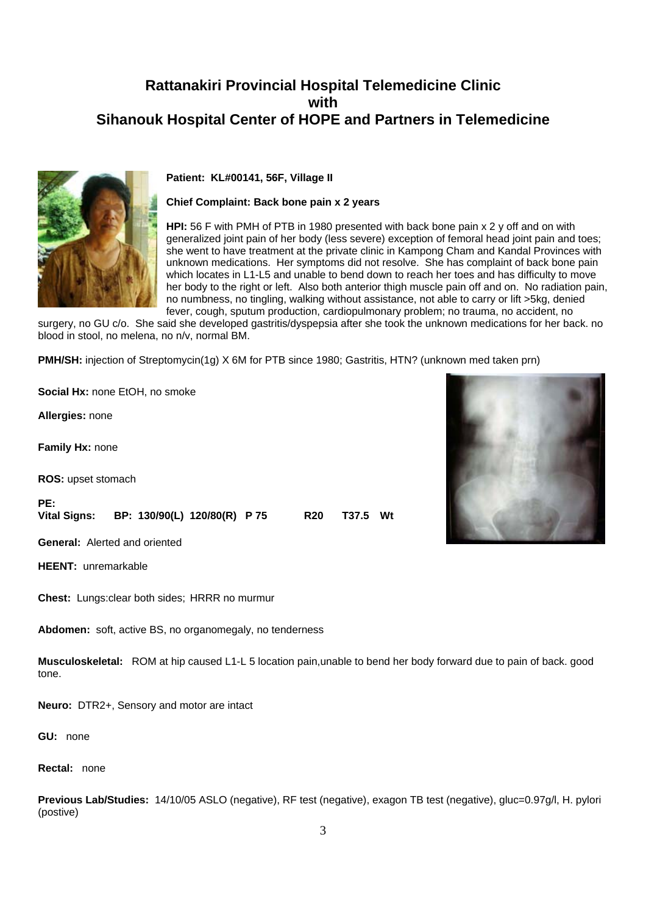

**Patient: KL#00141, 56F, Village II** 

#### **Chief Complaint: Back bone pain x 2 years**

**HPI:** 56 F with PMH of PTB in 1980 presented with back bone pain x 2 y off and on with generalized joint pain of her body (less severe) exception of femoral head joint pain and toes; she went to have treatment at the private clinic in Kampong Cham and Kandal Provinces with unknown medications. Her symptoms did not resolve. She has complaint of back bone pain which locates in L1-L5 and unable to bend down to reach her toes and has difficulty to move her body to the right or left. Also both anterior thigh muscle pain off and on. No radiation pain, no numbness, no tingling, walking without assistance, not able to carry or lift >5kg, denied fever, cough, sputum production, cardiopulmonary problem; no trauma, no accident, no

surgery, no GU c/o. She said she developed gastritis/dyspepsia after she took the unknown medications for her back. no blood in stool, no melena, no n/v, normal BM.

**PMH/SH:** injection of Streptomycin(1g) X 6M for PTB since 1980; Gastritis, HTN? (unknown med taken prn)

**Social Hx:** none EtOH, no smoke **Allergies:** none **Family Hx:** none **ROS:** upset stomach **PE: Vital Signs: BP: 130/90(L) 120/80(R) P 75 R20 T37.5 Wt General:** Alerted and oriented **HEENT:** unremarkable

**Chest:** Lungs:clear both sides; HRRR no murmur

**Abdomen:** soft, active BS, no organomegaly, no tenderness

**Musculoskeletal:** ROM at hip caused L1-L 5 location pain,unable to bend her body forward due to pain of back. good tone.

**Neuro:** DTR2+, Sensory and motor are intact

**GU:** none

**Rectal:** none

**Previous Lab/Studies:** 14/10/05 ASLO (negative), RF test (negative), exagon TB test (negative), gluc=0.97g/l, H. pylori (postive)

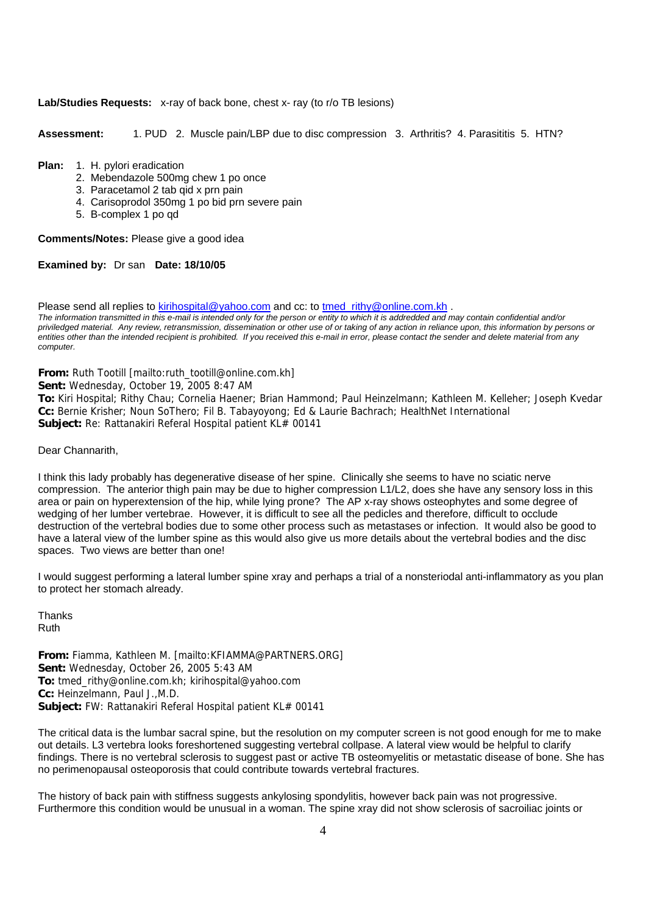#### **Lab/Studies Requests:** x-ray of back bone, chest x- ray (to r/o TB lesions)

**Assessment:** 1. PUD 2. Muscle pain/LBP due to disc compression 3. Arthritis? 4. Parasititis 5. HTN?

#### **Plan:** 1. H. pylori eradication

- 2. Mebendazole 500mg chew 1 po once
- 3. Paracetamol 2 tab qid x prn pain
- 4. Carisoprodol 350mg 1 po bid prn severe pain
- 5. B-complex 1 po qd

**Comments/Notes:** Please give a good idea

#### **Examined by:** Dr san **Date: 18/10/05**

Please send all replies to kirihospital@yahoo.com and cc: to tmed rithy@online.com.kh . *The information transmitted in this e-mail is intended only for the person or entity to which it is addredded and may contain confidential and/or priviledged material. Any review, retransmission, dissemination or other use of or taking of any action in reliance upon, this information by persons or entities other than the intended recipient is prohibited. If you received this e-mail in error, please contact the sender and delete material from any computer.*

**From:** Ruth Tootill [mailto:ruth\_tootill@online.com.kh]

**Sent:** Wednesday, October 19, 2005 8:47 AM

**To:** Kiri Hospital; Rithy Chau; Cornelia Haener; Brian Hammond; Paul Heinzelmann; Kathleen M. Kelleher; Joseph Kvedar **Cc:** Bernie Krisher; Noun SoThero; Fil B. Tabayoyong; Ed & Laurie Bachrach; HealthNet International **Subject:** Re: Rattanakiri Referal Hospital patient KL# 00141

#### Dear Channarith,

I think this lady probably has degenerative disease of her spine. Clinically she seems to have no sciatic nerve compression. The anterior thigh pain may be due to higher compression L1/L2, does she have any sensory loss in this area or pain on hyperextension of the hip, while lying prone? The AP x-ray shows osteophytes and some degree of wedging of her lumber vertebrae. However, it is difficult to see all the pedicles and therefore, difficult to occlude destruction of the vertebral bodies due to some other process such as metastases or infection. It would also be good to have a lateral view of the lumber spine as this would also give us more details about the vertebral bodies and the disc spaces. Two views are better than one!

I would suggest performing a lateral lumber spine xray and perhaps a trial of a nonsteriodal anti-inflammatory as you plan to protect her stomach already.

Thanks Ruth

**From:** Fiamma, Kathleen M. [mailto:KFIAMMA@PARTNERS.ORG] **Sent:** Wednesday, October 26, 2005 5:43 AM **To:** tmed\_rithy@online.com.kh; kirihospital@yahoo.com **Cc:** Heinzelmann, Paul J.,M.D. **Subject:** FW: Rattanakiri Referal Hospital patient KL# 00141

The critical data is the lumbar sacral spine, but the resolution on my computer screen is not good enough for me to make out details. L3 vertebra looks foreshortened suggesting vertebral collpase. A lateral view would be helpful to clarify findings. There is no vertebral sclerosis to suggest past or active TB osteomyelitis or metastatic disease of bone. She has no perimenopausal osteoporosis that could contribute towards vertebral fractures.

The history of back pain with stiffness suggests ankylosing spondylitis, however back pain was not progressive. Furthermore this condition would be unusual in a woman. The spine xray did not show sclerosis of sacroiliac joints or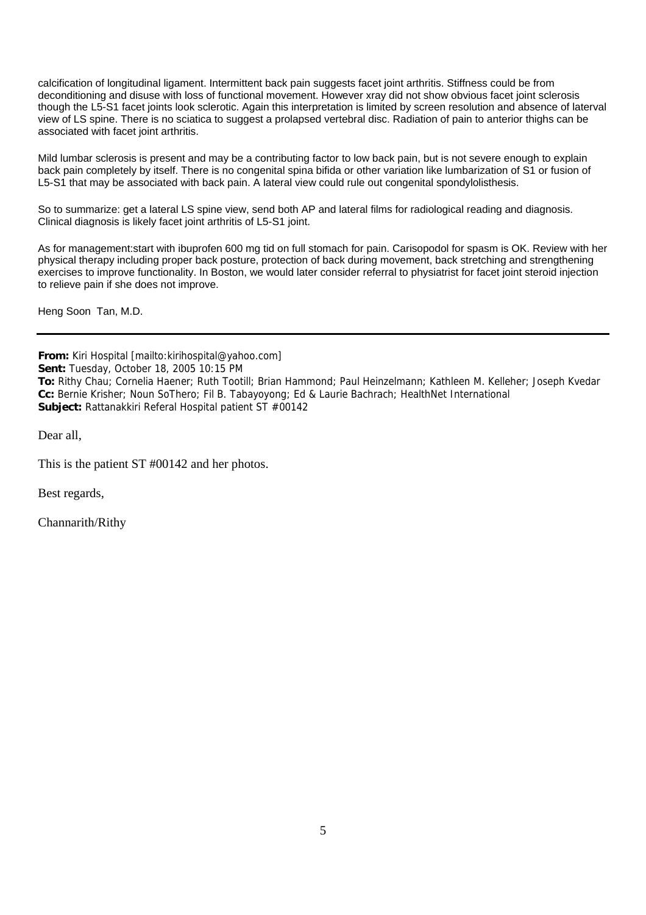calcification of longitudinal ligament. Intermittent back pain suggests facet joint arthritis. Stiffness could be from deconditioning and disuse with loss of functional movement. However xray did not show obvious facet joint sclerosis though the L5-S1 facet joints look sclerotic. Again this interpretation is limited by screen resolution and absence of laterval view of LS spine. There is no sciatica to suggest a prolapsed vertebral disc. Radiation of pain to anterior thighs can be associated with facet joint arthritis.

Mild lumbar sclerosis is present and may be a contributing factor to low back pain, but is not severe enough to explain back pain completely by itself. There is no congenital spina bifida or other variation like lumbarization of S1 or fusion of L5-S1 that may be associated with back pain. A lateral view could rule out congenital spondylolisthesis.

So to summarize: get a lateral LS spine view, send both AP and lateral films for radiological reading and diagnosis. Clinical diagnosis is likely facet joint arthritis of L5-S1 joint.

As for management:start with ibuprofen 600 mg tid on full stomach for pain. Carisopodol for spasm is OK. Review with her physical therapy including proper back posture, protection of back during movement, back stretching and strengthening exercises to improve functionality. In Boston, we would later consider referral to physiatrist for facet joint steroid injection to relieve pain if she does not improve.

Heng Soon Tan, M.D.

**From:** Kiri Hospital [mailto:kirihospital@yahoo.com] **Sent:** Tuesday, October 18, 2005 10:15 PM **To:** Rithy Chau; Cornelia Haener; Ruth Tootill; Brian Hammond; Paul Heinzelmann; Kathleen M. Kelleher; Joseph Kvedar **Cc:** Bernie Krisher; Noun SoThero; Fil B. Tabayoyong; Ed & Laurie Bachrach; HealthNet International **Subject:** Rattanakkiri Referal Hospital patient ST #00142

Dear all,

This is the patient ST #00142 and her photos.

Best regards,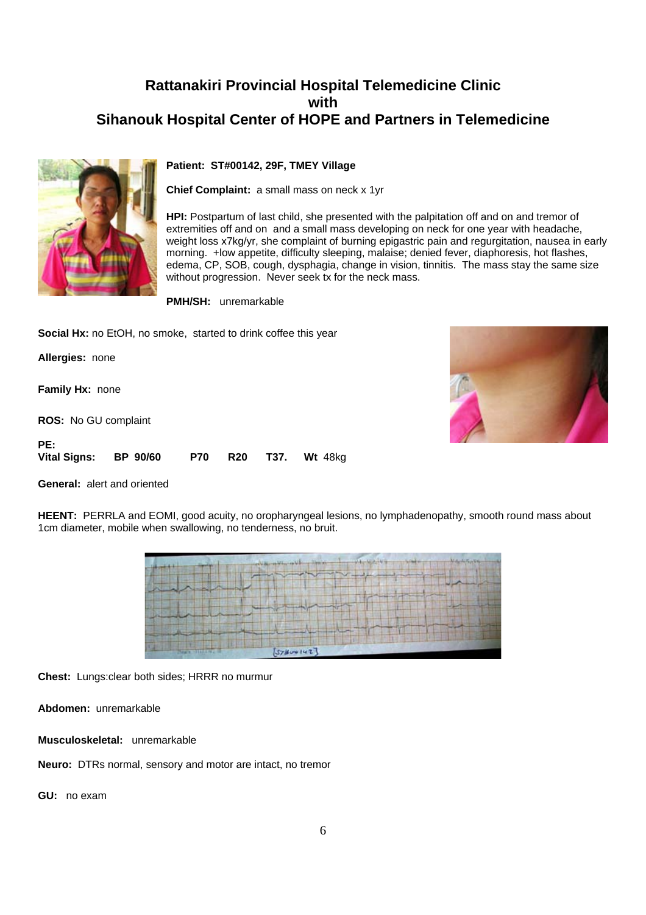

### **Patient: ST#00142, 29F, TMEY Village**

**Chief Complaint:** a small mass on neck x 1yr

**HPI:** Postpartum of last child, she presented with the palpitation off and on and tremor of extremities off and on and a small mass developing on neck for one year with headache, weight loss x7kg/yr, she complaint of burning epigastric pain and regurgitation, nausea in early morning. +low appetite, difficulty sleeping, malaise; denied fever, diaphoresis, hot flashes, edema, CP, SOB, cough, dysphagia, change in vision, tinnitis. The mass stay the same size without progression. Never seek tx for the neck mass.

**PMH/SH:** unremarkable

**Social Hx:** no EtOH, no smoke, started to drink coffee this year

**Allergies:** none

**Family Hx:** none

**ROS:** No GU complaint

**PE: Vital Signs: BP 90/60 P70 R20 T37. Wt** 48kg



**General:** alert and oriented

**HEENT:** PERRLA and EOMI, good acuity, no oropharyngeal lesions, no lymphadenopathy, smooth round mass about 1cm diameter, mobile when swallowing, no tenderness, no bruit.

| TITH.<br>1 keeping                            |  |
|-----------------------------------------------|--|
|                                               |  |
|                                               |  |
|                                               |  |
| <b>BELLET</b><br>[57]<br><b>WA'R DIRECTOR</b> |  |

**Chest:** Lungs:clear both sides; HRRR no murmur

**Abdomen:** unremarkable

**Musculoskeletal:** unremarkable

**Neuro:** DTRs normal, sensory and motor are intact, no tremor

**GU:** no exam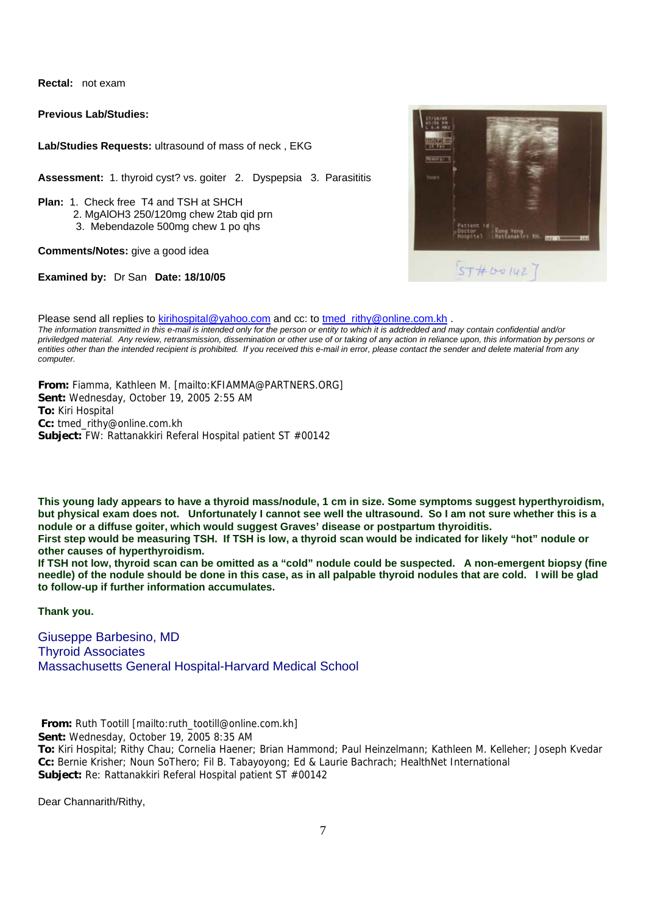**Rectal:** not exam

**Previous Lab/Studies:**

**Lab/Studies Requests:** ultrasound of mass of neck , EKG

**Assessment:** 1. thyroid cyst? vs. goiter 2. Dyspepsia 3. Parasititis

**Plan:** 1. Check free T4 and TSH at SHCH

- 2. MgAlOH3 250/120mg chew 2tab qid prn
- 3. Mebendazole 500mg chew 1 po qhs

**Comments/Notes:** give a good idea

**Examined by:** Dr San **Date: 18/10/05**

| <b>Half En</b><br>15 7 8 8 |                                                                                              |
|----------------------------|----------------------------------------------------------------------------------------------|
| <b>Hubstrate</b>           |                                                                                              |
| <b>basic</b>               |                                                                                              |
|                            |                                                                                              |
|                            | Patient id:<br>Doctor : :Rong Veng<br>Hospital :Ratlanskiri KH. <mark>HITMA</mark> N<br>1137 |

Please send all replies to kirihospital@yahoo.com and cc: to tmed\_rithy@online.com.kh . *The information transmitted in this e-mail is intended only for the person or entity to which it is addredded and may contain confidential and/or priviledged material. Any review, retransmission, dissemination or other use of or taking of any action in reliance upon, this information by persons or entities other than the intended recipient is prohibited. If you received this e-mail in error, please contact the sender and delete material from any computer.*

**From:** Fiamma, Kathleen M. [mailto:KFIAMMA@PARTNERS.ORG] **Sent:** Wednesday, October 19, 2005 2:55 AM **To:** Kiri Hospital **Cc:** tmed\_rithy@online.com.kh **Subject:** FW: Rattanakkiri Referal Hospital patient ST #00142

**This young lady appears to have a thyroid mass/nodule, 1 cm in size. Some symptoms suggest hyperthyroidism, but physical exam does not. Unfortunately I cannot see well the ultrasound. So I am not sure whether this is a nodule or a diffuse goiter, which would suggest Graves' disease or postpartum thyroiditis.**

**First step would be measuring TSH. If TSH is low, a thyroid scan would be indicated for likely "hot" nodule or other causes of hyperthyroidism.** 

**If TSH not low, thyroid scan can be omitted as a "cold" nodule could be suspected. A non-emergent biopsy (fine needle) of the nodule should be done in this case, as in all palpable thyroid nodules that are cold. I will be glad to follow-up if further information accumulates.** 

**Thank you.**

Giuseppe Barbesino, MD Thyroid Associates Massachusetts General Hospital-Harvard Medical School

 **From:** Ruth Tootill [mailto:ruth\_tootill@online.com.kh]

**Sent:** Wednesday, October 19, 2005 8:35 AM

**To:** Kiri Hospital; Rithy Chau; Cornelia Haener; Brian Hammond; Paul Heinzelmann; Kathleen M. Kelleher; Joseph Kvedar **Cc:** Bernie Krisher; Noun SoThero; Fil B. Tabayoyong; Ed & Laurie Bachrach; HealthNet International **Subject:** Re: Rattanakkiri Referal Hospital patient ST #00142

Dear Channarith/Rithy,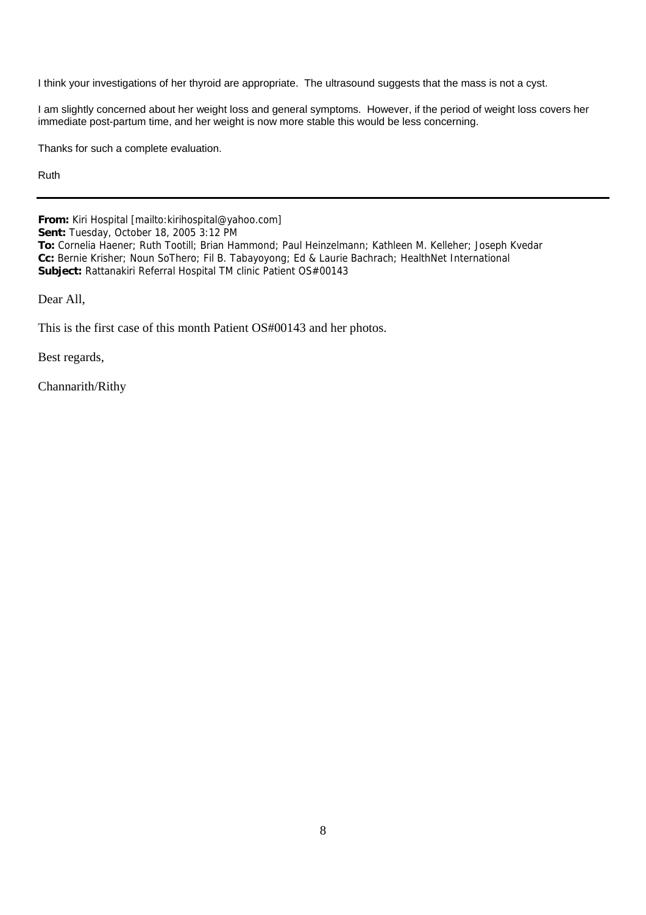I think your investigations of her thyroid are appropriate. The ultrasound suggests that the mass is not a cyst.

I am slightly concerned about her weight loss and general symptoms. However, if the period of weight loss covers her immediate post-partum time, and her weight is now more stable this would be less concerning.

Thanks for such a complete evaluation.

Ruth

**From:** Kiri Hospital [mailto:kirihospital@yahoo.com]

**Sent:** Tuesday, October 18, 2005 3:12 PM

**To:** Cornelia Haener; Ruth Tootill; Brian Hammond; Paul Heinzelmann; Kathleen M. Kelleher; Joseph Kvedar **Cc:** Bernie Krisher; Noun SoThero; Fil B. Tabayoyong; Ed & Laurie Bachrach; HealthNet International **Subject:** Rattanakiri Referral Hospital TM clinic Patient OS#00143

Dear All,

This is the first case of this month Patient OS#00143 and her photos.

Best regards,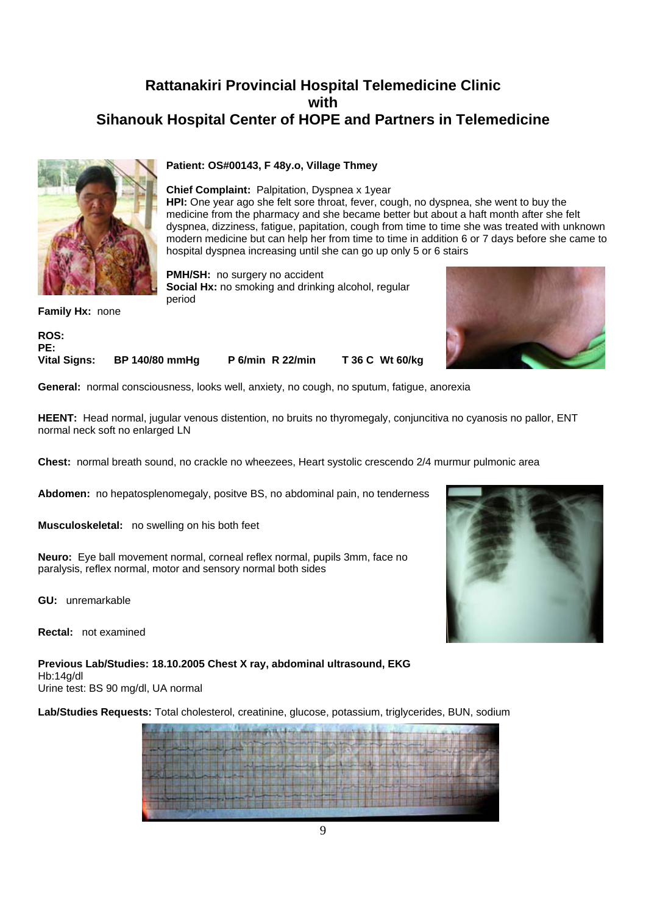

#### **Patient: OS#00143, F 48y.o, Village Thmey**

**Chief Complaint:** Palpitation, Dyspnea x 1year **HPI:** One year ago she felt sore throat, fever, cough, no dyspnea, she went to buy the medicine from the pharmacy and she became better but about a haft month after she felt dyspnea, dizziness, fatigue, papitation, cough from time to time she was treated with unknown modern medicine but can help her from time to time in addition 6 or 7 days before she came to hospital dyspnea increasing until she can go up only 5 or 6 stairs

**PMH/SH:** no surgery no accident **Social Hx:** no smoking and drinking alcohol, regular period



**Family Hx:** none

**ROS: PE: Vital Signs: BP 140/80 mmHg P 6/min R 22/min T 36 C Wt 60/kg**

**General:** normal consciousness, looks well, anxiety, no cough, no sputum, fatigue, anorexia

**HEENT:** Head normal, jugular venous distention, no bruits no thyromegaly, conjuncitiva no cyanosis no pallor, ENT normal neck soft no enlarged LN

**Chest:** normal breath sound, no crackle no wheezees, Heart systolic crescendo 2/4 murmur pulmonic area

**Abdomen:** no hepatosplenomegaly, positve BS, no abdominal pain, no tenderness

**Musculoskeletal:** no swelling on his both feet

**Neuro:** Eye ball movement normal, corneal reflex normal, pupils 3mm, face no paralysis, reflex normal, motor and sensory normal both sides

**GU:** unremarkable

**Rectal:** not examined

**Previous Lab/Studies: 18.10.2005 Chest X ray, abdominal ultrasound, EKG**  Hb:14g/dl Urine test: BS 90 mg/dl, UA normal

**Lab/Studies Requests:** Total cholesterol, creatinine, glucose, potassium, triglycerides, BUN, sodium

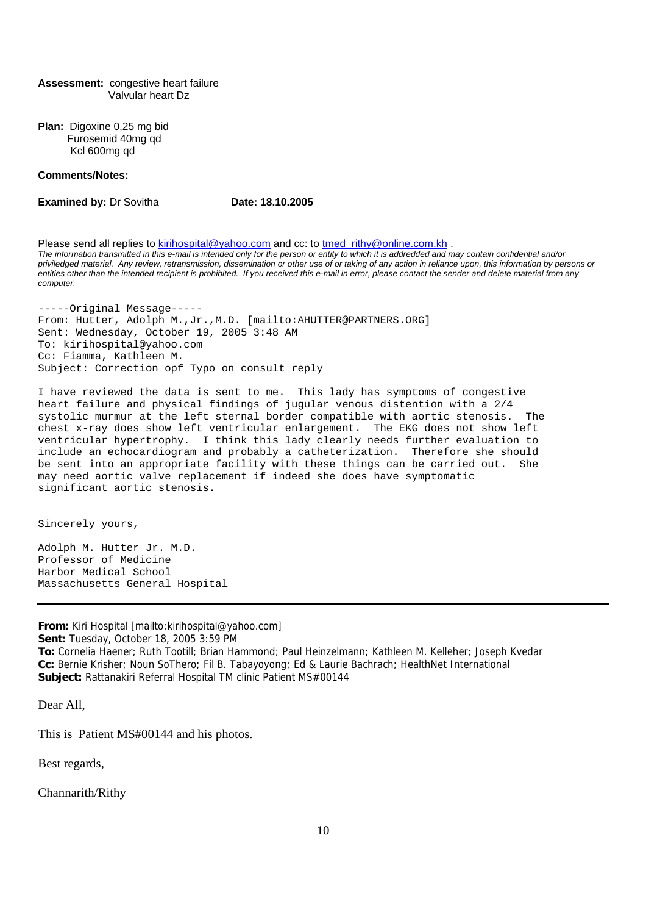#### **Assessment:** congestive heart failure Valvular heart Dz

**Plan:** Digoxine 0,25 mg bid Furosemid 40mg qd Kcl 600mg qd

#### **Comments/Notes:**

**Examined by: Dr Sovitha <b>Date: 18.10.2005** 

Please send all replies to kirihospital@yahoo.com and cc: to tmed rithy@online.com.kh . *The information transmitted in this e-mail is intended only for the person or entity to which it is addredded and may contain confidential and/or priviledged material. Any review, retransmission, dissemination or other use of or taking of any action in reliance upon, this information by persons or entities other than the intended recipient is prohibited. If you received this e-mail in error, please contact the sender and delete material from any computer.*

-----Original Message----- From: Hutter, Adolph M.,Jr.,M.D. [mailto:AHUTTER@PARTNERS.ORG] Sent: Wednesday, October 19, 2005 3:48 AM To: kirihospital@yahoo.com Cc: Fiamma, Kathleen M. Subject: Correction opf Typo on consult reply

I have reviewed the data is sent to me. This lady has symptoms of congestive heart failure and physical findings of jugular venous distention with a 2/4 systolic murmur at the left sternal border compatible with aortic stenosis. The chest x-ray does show left ventricular enlargement. The EKG does not show left ventricular hypertrophy. I think this lady clearly needs further evaluation to include an echocardiogram and probably a catheterization. Therefore she should be sent into an appropriate facility with these things can be carried out. She may need aortic valve replacement if indeed she does have symptomatic significant aortic stenosis.

Sincerely yours,

Adolph M. Hutter Jr. M.D. Professor of Medicine Harbor Medical School Massachusetts General Hospital

**From:** Kiri Hospital [mailto:kirihospital@yahoo.com] **Sent:** Tuesday, October 18, 2005 3:59 PM **To:** Cornelia Haener; Ruth Tootill; Brian Hammond; Paul Heinzelmann; Kathleen M. Kelleher; Joseph Kvedar **Cc:** Bernie Krisher; Noun SoThero; Fil B. Tabayoyong; Ed & Laurie Bachrach; HealthNet International **Subject:** Rattanakiri Referral Hospital TM clinic Patient MS#00144

Dear All,

This is Patient MS#00144 and his photos.

Best regards,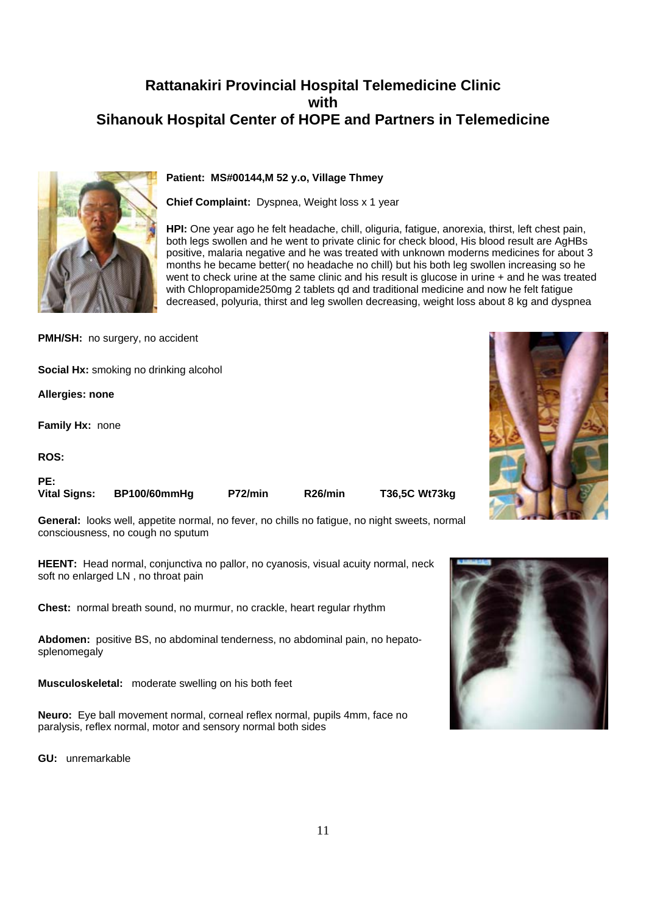

### **Patient: MS#00144,M 52 y.o, Village Thmey**

**Chief Complaint:** Dyspnea, Weight loss x 1 year

**HPI:** One year ago he felt headache, chill, oliguria, fatigue, anorexia, thirst, left chest pain, both legs swollen and he went to private clinic for check blood, His blood result are AgHBs positive, malaria negative and he was treated with unknown moderns medicines for about 3 months he became better( no headache no chill) but his both leg swollen increasing so he went to check urine at the same clinic and his result is glucose in urine + and he was treated with Chlopropamide250mg 2 tablets qd and traditional medicine and now he felt fatigue decreased, polyuria, thirst and leg swollen decreasing, weight loss about 8 kg and dyspnea

**PMH/SH:** no surgery, no accident

**Social Hx:** smoking no drinking alcohol

**Allergies: none**

**Family Hx:** none

**ROS:**

**PE:** 

| <b>Vital Signs:</b> | <b>BP100/60mr</b> |
|---------------------|-------------------|
|                     |                   |

**Vital Signs: BP100/60mmHg P72/min R26/min T36,5C Wt73kg**

**General:** looks well, appetite normal, no fever, no chills no fatigue, no night sweets, normal consciousness, no cough no sputum

**HEENT:** Head normal, conjunctiva no pallor, no cyanosis, visual acuity normal, neck soft no enlarged LN , no throat pain

**Chest:** normal breath sound, no murmur, no crackle, heart regular rhythm

**Abdomen:** positive BS, no abdominal tenderness, no abdominal pain, no hepatosplenomegaly

**Musculoskeletal:** moderate swelling on his both feet

**Neuro:** Eye ball movement normal, corneal reflex normal, pupils 4mm, face no paralysis, reflex normal, motor and sensory normal both sides

**GU:** unremarkable



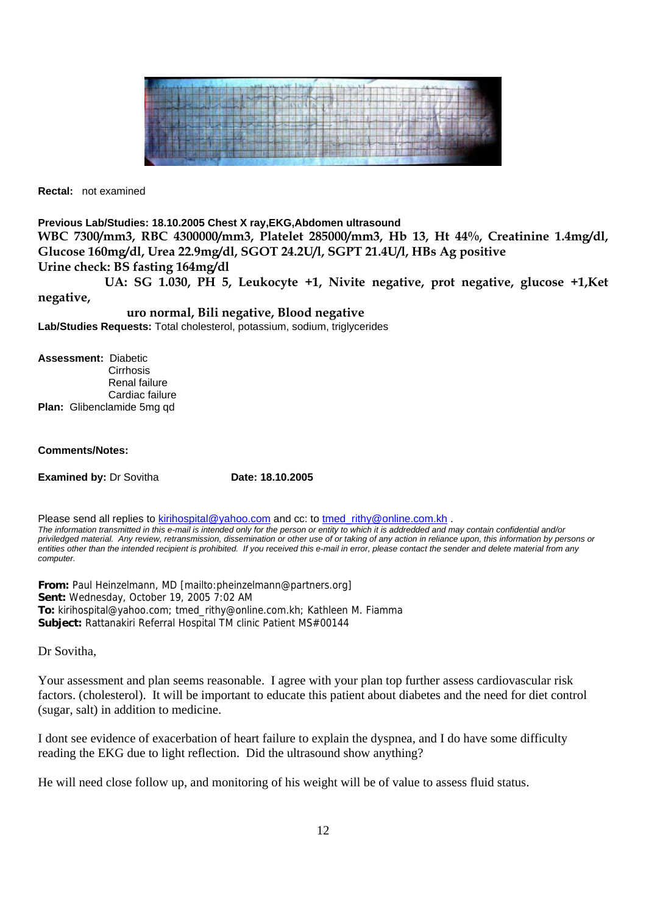

**Rectal:** not examined

#### **Previous Lab/Studies: 18.10.2005 Chest X ray,EKG,Abdomen ultrasound**

**WBC 7300/mm3, RBC 4300000/mm3, Platelet 285000/mm3, Hb 13, Ht 44%, Creatinine 1.4mg/dl, Glucose 160mg/dl, Urea 22.9mg/dl, SGOT 24.2U/l, SGPT 21.4U/l, HBs Ag positive Urine check: BS fasting 164mg/dl** 

 **UA: SG 1.030, PH 5, Leukocyte +1, Nivite negative, prot negative, glucose +1,Ket negative,** 

 **uro normal, Bili negative, Blood negative Lab/Studies Requests:** Total cholesterol, potassium, sodium, triglycerides

**Assessment:** Diabetic **Cirrhosis**  Renal failure Cardiac failure **Plan:** Glibenclamide 5mg qd

#### **Comments/Notes:**

**Examined by: Dr Sovitha <b>Date: 18.10.2005** 

Please send all replies to kirihospital@yahoo.com and cc: to tmed rithy@online.com.kh . *The information transmitted in this e-mail is intended only for the person or entity to which it is addredded and may contain confidential and/or priviledged material. Any review, retransmission, dissemination or other use of or taking of any action in reliance upon, this information by persons or entities other than the intended recipient is prohibited. If you received this e-mail in error, please contact the sender and delete material from any computer.*

**From:** Paul Heinzelmann, MD [mailto:pheinzelmann@partners.org] **Sent:** Wednesday, October 19, 2005 7:02 AM **To:** kirihospital@yahoo.com; tmed\_rithy@online.com.kh; Kathleen M. Fiamma **Subject:** Rattanakiri Referral Hospital TM clinic Patient MS#00144

Dr Sovitha,

Your assessment and plan seems reasonable. I agree with your plan top further assess cardiovascular risk factors. (cholesterol). It will be important to educate this patient about diabetes and the need for diet control (sugar, salt) in addition to medicine.

I dont see evidence of exacerbation of heart failure to explain the dyspnea, and I do have some difficulty reading the EKG due to light reflection. Did the ultrasound show anything?

He will need close follow up, and monitoring of his weight will be of value to assess fluid status.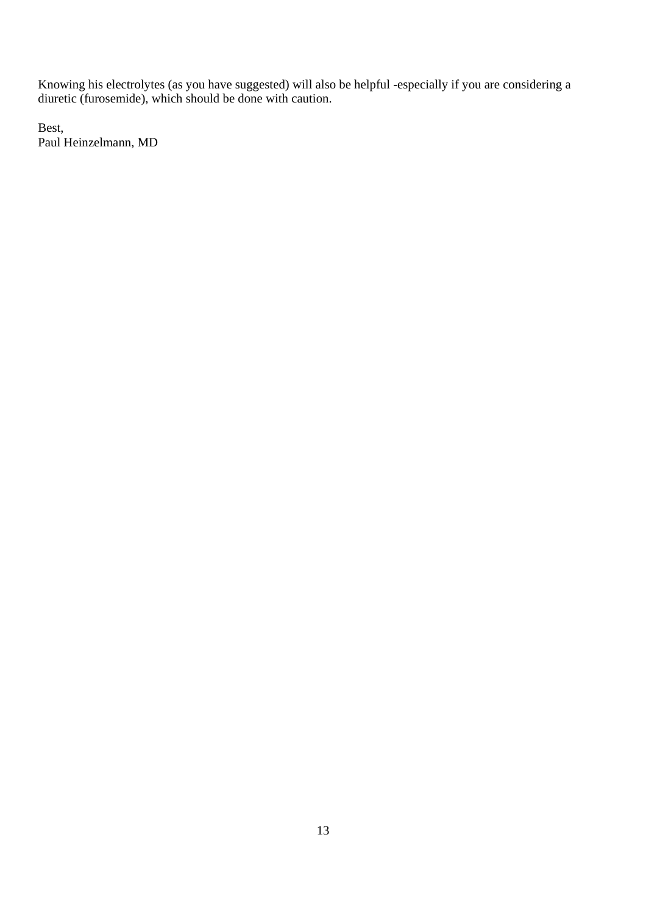Knowing his electrolytes (as you have suggested) will also be helpful -especially if you are considering a diuretic (furosemide), which should be done with caution.

Best, Paul Heinzelmann, MD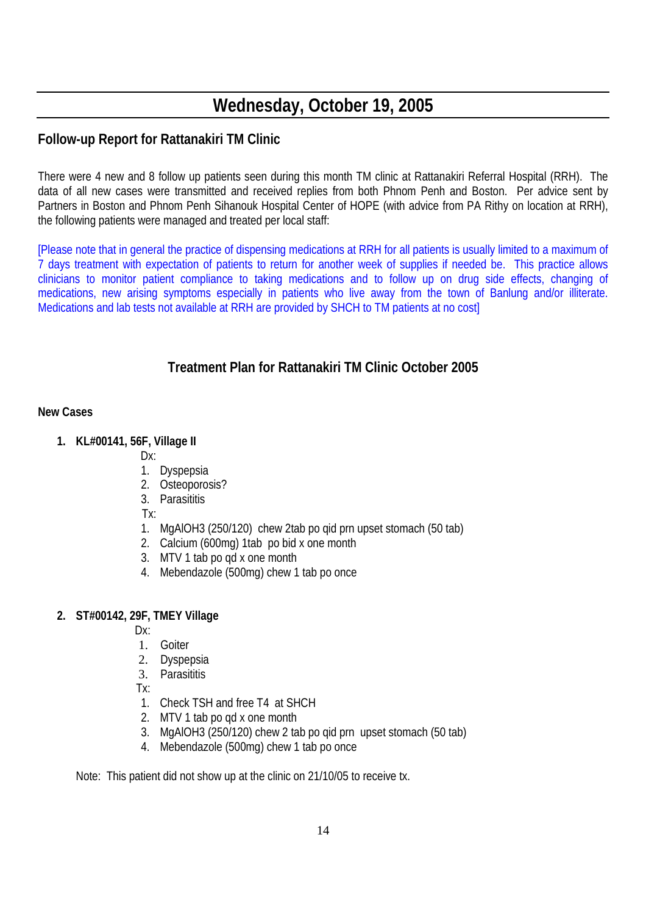# **Wednesday, October 19, 2005**

# **Follow-up Report for Rattanakiri TM Clinic**

There were 4 new and 8 follow up patients seen during this month TM clinic at Rattanakiri Referral Hospital (RRH). The data of all new cases were transmitted and received replies from both Phnom Penh and Boston. Per advice sent by Partners in Boston and Phnom Penh Sihanouk Hospital Center of HOPE (with advice from PA Rithy on location at RRH), the following patients were managed and treated per local staff:

[Please note that in general the practice of dispensing medications at RRH for all patients is usually limited to a maximum of 7 days treatment with expectation of patients to return for another week of supplies if needed be. This practice allows clinicians to monitor patient compliance to taking medications and to follow up on drug side effects, changing of medications, new arising symptoms especially in patients who live away from the town of Banlung and/or illiterate. Medications and lab tests not available at RRH are provided by SHCH to TM patients at no cost]

# **Treatment Plan for Rattanakiri TM Clinic October 2005**

### **New Cases**

- **1. KL#00141, 56F, Village II** 
	- Dx:
	- 1. Dyspepsia
	- 2. Osteoporosis?
	- 3. Parasititis
	- Tx:
	- 1. MgAlOH3 (250/120) chew 2tab po qid prn upset stomach (50 tab)
	- 2. Calcium (600mg) 1tab po bid x one month
	- 3. MTV 1 tab po qd x one month
	- 4. Mebendazole (500mg) chew 1 tab po once

### **2. ST#00142, 29F, TMEY Village**

- Dx:
- 1. Goiter
- 2. Dyspepsia
- 3. Parasititis
- Tx:
- 1. Check TSH and free T4 at SHCH
- 2. MTV 1 tab po qd x one month
- 3. MgAlOH3 (250/120) chew 2 tab po qid prn upset stomach (50 tab)
- 4. Mebendazole (500mg) chew 1 tab po once

Note: This patient did not show up at the clinic on 21/10/05 to receive tx.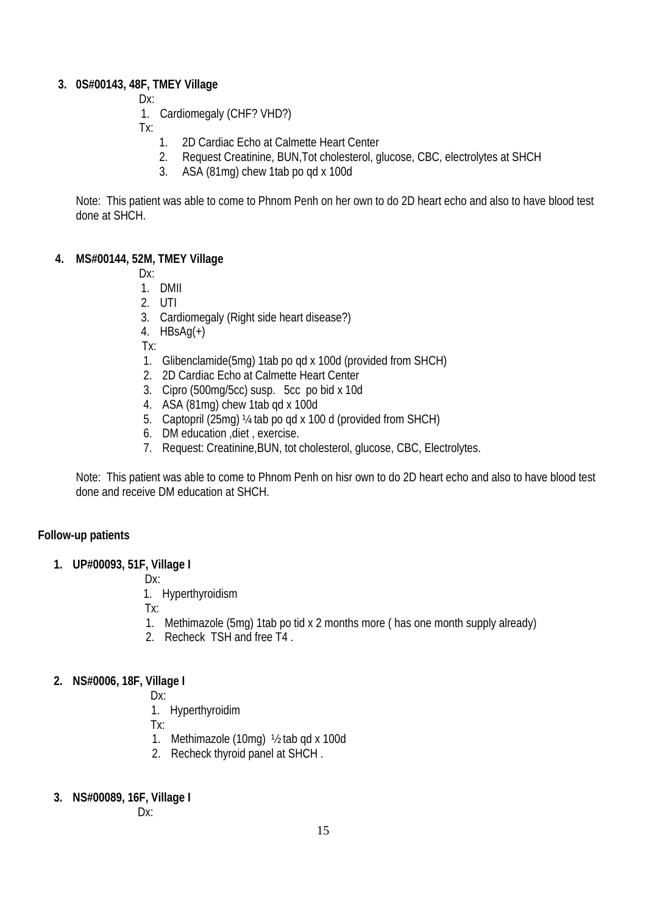### **3. 0S#00143, 48F, TMEY Village**

- Dx:
- 1. Cardiomegaly (CHF? VHD?)
- Tx:
	- 1. 2D Cardiac Echo at Calmette Heart Center
	- 2. Request Creatinine, BUN,Tot cholesterol, glucose, CBC, electrolytes at SHCH
	- 3. ASA (81mg) chew 1tab po qd x 100d

Note: This patient was able to come to Phnom Penh on her own to do 2D heart echo and also to have blood test done at SHCH.

### **4. MS#00144, 52M, TMEY Village**

Dx:

- 1. DMII
- 2. UTI
- 3. Cardiomegaly (Right side heart disease?)
- 4.  $HBSAg(+)$

Tx:

- 1. Glibenclamide(5mg) 1tab po qd x 100d (provided from SHCH)
- 2. 2D Cardiac Echo at Calmette Heart Center
- 3. Cipro (500mg/5cc) susp. 5cc po bid x 10d
- 4. ASA (81mg) chew 1tab qd x 100d
- 5. Captopril (25mg) ¼ tab po qd x 100 d (provided from SHCH)
- 6. DM education ,diet , exercise.
- 7. Request: Creatinine,BUN, tot cholesterol, glucose, CBC, Electrolytes.

Note: This patient was able to come to Phnom Penh on hisr own to do 2D heart echo and also to have blood test done and receive DM education at SHCH.

### **Follow-up patients**

**1. UP#00093, 51F, Village I** 

Dx:

1. Hyperthyroidism

Tx:

- 1. Methimazole (5mg) 1tab po tid x 2 months more ( has one month supply already)
- 2. Recheck TSH and free T4 .

### **2. NS#0006, 18F, Village I**

- Dx:
- 1. Hyperthyroidim

Tx:

- 1. Methimazole (10mg) ½ tab qd x 100d
- 2. Recheck thyroid panel at SHCH .
- **3. NS#00089, 16F, Village I**

Dx: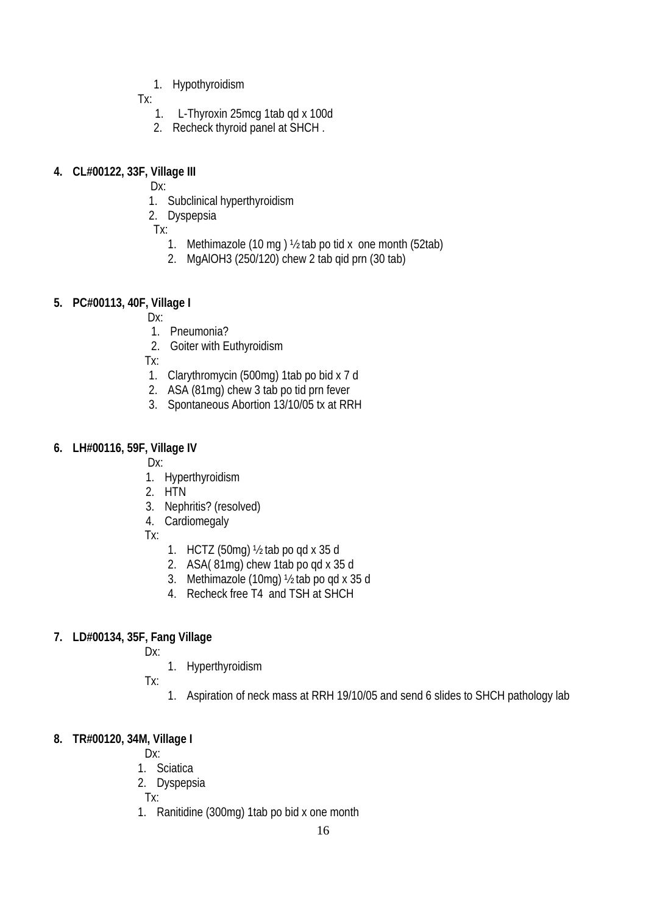1. Hypothyroidism

Tx:

- 1. L-Thyroxin 25mcg 1tab qd x 100d
- 2. Recheck thyroid panel at SHCH .

### **4. CL#00122, 33F, Village III**

Dx:

- 1. Subclinical hyperthyroidism
- 2. Dyspepsia

Tx:

- 1. Methimazole (10 mg ) ½ tab po tid x one month (52tab)
- 2. MgAlOH3 (250/120) chew 2 tab qid prn (30 tab)

### **5. PC#00113, 40F, Village I**

- Dx:
- 1. Pneumonia?
- 2. Goiter with Euthyroidism

Tx:

- 1. Clarythromycin (500mg) 1tab po bid x 7 d
- 2. ASA (81mg) chew 3 tab po tid prn fever
- 3. Spontaneous Abortion 13/10/05 tx at RRH

### **6. LH#00116, 59F, Village IV**

Dx:

- 1. Hyperthyroidism
- 2. HTN
- 3. Nephritis? (resolved)
- 4. Cardiomegaly

Tx:

- 1. HCTZ (50mg) ½ tab po qd x 35 d
- 2. ASA( 81mg) chew 1tab po qd x 35 d
- 3. Methimazole (10mg) ½ tab po qd x 35 d
- 4. Recheck free T4 and TSH at SHCH

### **7. LD#00134, 35F, Fang Village**

- Dx:
	- 1. Hyperthyroidism
- Tx:
	- 1. Aspiration of neck mass at RRH 19/10/05 and send 6 slides to SHCH pathology lab

### **8. TR#00120, 34M, Village I**

Dx:

- 1. Sciatica
- 2. Dyspepsia

Tx:

1. Ranitidine (300mg) 1tab po bid x one month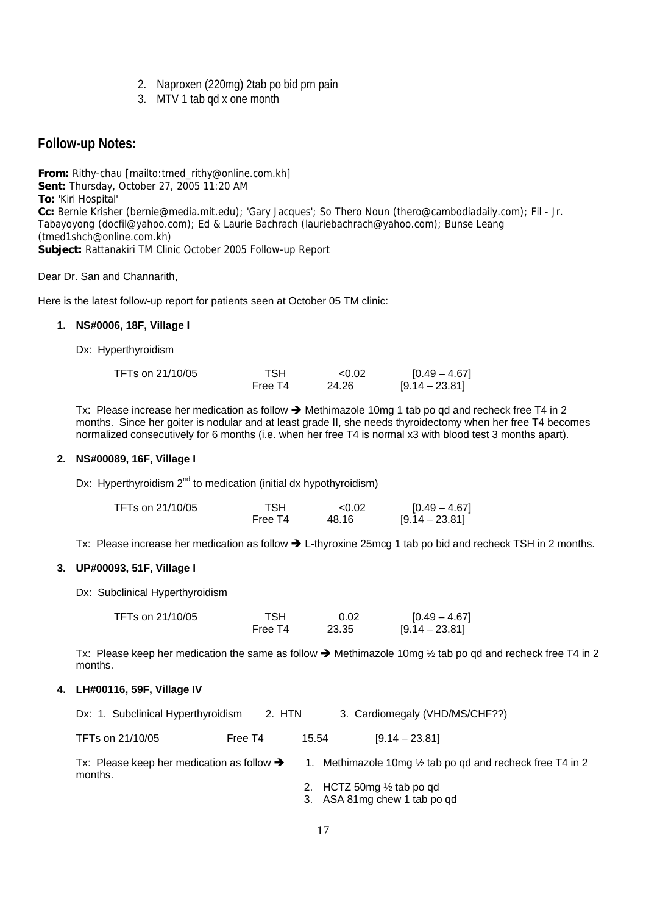- 2. Naproxen (220mg) 2tab po bid prn pain
- 3. MTV 1 tab qd x one month

### **Follow-up Notes:**

**From:** Rithy-chau [mailto:tmed\_rithy@online.com.kh] **Sent:** Thursday, October 27, 2005 11:20 AM **To:** 'Kiri Hospital' **Cc:** Bernie Krisher (bernie@media.mit.edu); 'Gary Jacques'; So Thero Noun (thero@cambodiadaily.com); Fil - Jr. Tabayoyong (docfil@yahoo.com); Ed & Laurie Bachrach (lauriebachrach@yahoo.com); Bunse Leang (tmed1shch@online.com.kh) **Subject:** Rattanakiri TM Clinic October 2005 Follow-up Report

Dear Dr. San and Channarith,

Here is the latest follow-up report for patients seen at October 05 TM clinic:

### **1. NS#0006, 18F, Village I**

Dx: Hyperthyroidism

| TFTs on 21/10/05 | TSH     | < 0.02 | $[0.49 - 4.67]$  |
|------------------|---------|--------|------------------|
|                  | Free T4 | 24.26  | $[9.14 - 23.81]$ |

Tx: Please increase her medication as follow  $\rightarrow$  Methimazole 10mg 1 tab po qd and recheck free T4 in 2 months. Since her goiter is nodular and at least grade II, she needs thyroidectomy when her free T4 becomes normalized consecutively for 6 months (i.e. when her free T4 is normal x3 with blood test 3 months apart).

### **2. NS#00089, 16F, Village I**

Dx: Hyperthyroidism  $2^{nd}$  to medication (initial dx hypothyroidism)

| TFTs on 21/10/05 | TSH     | < 0.02 | $[0.49 - 4.67]$  |
|------------------|---------|--------|------------------|
|                  | Free T4 | 48.16  | $[9.14 - 23.81]$ |

Tx: Please increase her medication as follow  $\rightarrow$  L-thyroxine 25mcg 1 tab po bid and recheck TSH in 2 months.

### **3. UP#00093, 51F, Village I**

Dx: Subclinical Hyperthyroidism

| TFTs on 21/10/05 | TSH     | 0.02  | $[0.49 - 4.67]$  |
|------------------|---------|-------|------------------|
|                  | Free T4 | 23.35 | $[9.14 - 23.81]$ |

Tx: Please keep her medication the same as follow  $\rightarrow$  Methimazole 10mg  $\frac{1}{2}$  tab po qd and recheck free T4 in 2 months.

#### **4. LH#00116, 59F, Village IV**

| Dx: 1. Subclinical Hyperthyroidism                                | 2. HTN  |       | 3. Cardiomegaly (VHD/MS/CHF??)                             |
|-------------------------------------------------------------------|---------|-------|------------------------------------------------------------|
| TFTs on 21/10/05                                                  | Free T4 | 15.54 | $[9.14 - 23.81]$                                           |
| Tx: Please keep her medication as follow $\rightarrow$<br>months. |         |       | 1. Methimazole 10mg 1/2 tab po gd and recheck free T4 in 2 |
|                                                                   |         |       | 2. HCTZ 50mg $\frac{1}{2}$ tab po qd                       |
|                                                                   |         |       | 3. ASA 81mg chew 1 tab po qd                               |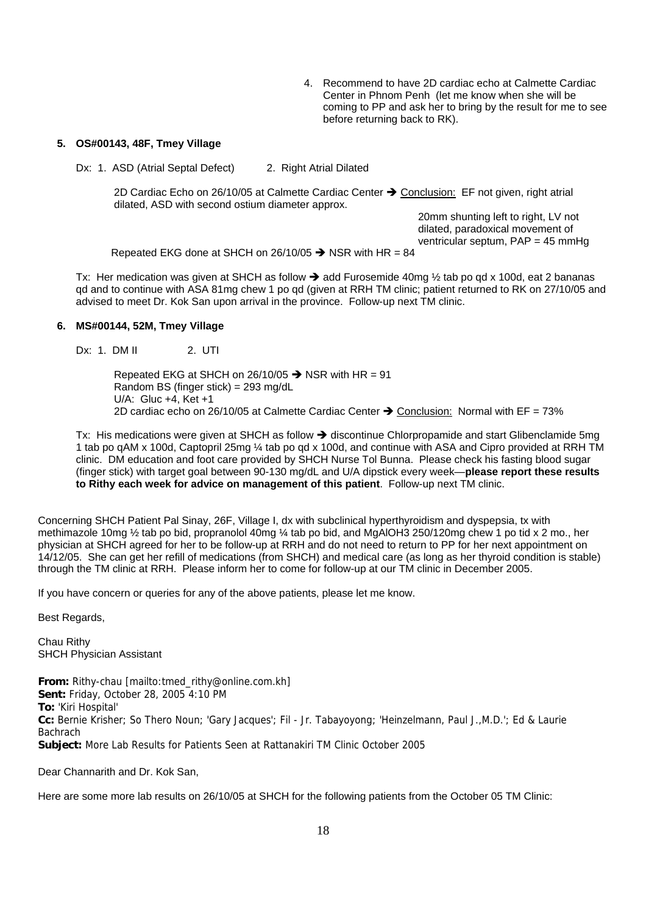4. Recommend to have 2D cardiac echo at Calmette Cardiac Center in Phnom Penh (let me know when she will be coming to PP and ask her to bring by the result for me to see before returning back to RK).

#### **5. OS#00143, 48F, Tmey Village**

Dx: 1. ASD (Atrial Septal Defect) 2. Right Atrial Dilated

2D Cardiac Echo on 26/10/05 at Calmette Cardiac Center  $\rightarrow$  Conclusion: EF not given, right atrial dilated, ASD with second ostium diameter approx.

> 20mm shunting left to right, LV not dilated, paradoxical movement of ventricular septum, PAP = 45 mmHg

Repeated EKG done at SHCH on 26/10/05  $\rightarrow$  NSR with HR = 84

Tx: Her medication was given at SHCH as follow  $\rightarrow$  add Furosemide 40mg  $\frac{1}{2}$  tab po qd x 100d, eat 2 bananas qd and to continue with ASA 81mg chew 1 po qd (given at RRH TM clinic; patient returned to RK on 27/10/05 and advised to meet Dr. Kok San upon arrival in the province. Follow-up next TM clinic.

#### **6. MS#00144, 52M, Tmey Village**

Dx: 1. DM II 2. UTI

Repeated EKG at SHCH on 26/10/05  $\rightarrow$  NSR with HR = 91 Random BS (finger stick) = 293 mg/dL U/A: Gluc +4, Ket +1 2D cardiac echo on 26/10/05 at Calmette Cardiac Center  $\rightarrow$  Conclusion: Normal with EF = 73%

Tx: His medications were given at SHCH as follow  $\rightarrow$  discontinue Chlorpropamide and start Glibenclamide 5mg 1 tab po qAM x 100d, Captopril 25mg ¼ tab po qd x 100d, and continue with ASA and Cipro provided at RRH TM clinic. DM education and foot care provided by SHCH Nurse Tol Bunna. Please check his fasting blood sugar (finger stick) with target goal between 90-130 mg/dL and U/A dipstick every week—**please report these results to Rithy each week for advice on management of this patient**. Follow-up next TM clinic.

Concerning SHCH Patient Pal Sinay, 26F, Village I, dx with subclinical hyperthyroidism and dyspepsia, tx with methimazole 10mg ½ tab po bid, propranolol 40mg ¼ tab po bid, and MgAlOH3 250/120mg chew 1 po tid x 2 mo., her physician at SHCH agreed for her to be follow-up at RRH and do not need to return to PP for her next appointment on 14/12/05. She can get her refill of medications (from SHCH) and medical care (as long as her thyroid condition is stable) through the TM clinic at RRH. Please inform her to come for follow-up at our TM clinic in December 2005.

If you have concern or queries for any of the above patients, please let me know.

Best Regards,

Chau Rithy SHCH Physician Assistant

**From:** Rithy-chau [mailto:tmed\_rithy@online.com.kh] **Sent:** Friday, October 28, 2005 4:10 PM **To:** 'Kiri Hospital' **Cc:** Bernie Krisher; So Thero Noun; 'Gary Jacques'; Fil - Jr. Tabayoyong; 'Heinzelmann, Paul J.,M.D.'; Ed & Laurie **Bachrach Subject:** More Lab Results for Patients Seen at Rattanakiri TM Clinic October 2005

Dear Channarith and Dr. Kok San,

Here are some more lab results on 26/10/05 at SHCH for the following patients from the October 05 TM Clinic: